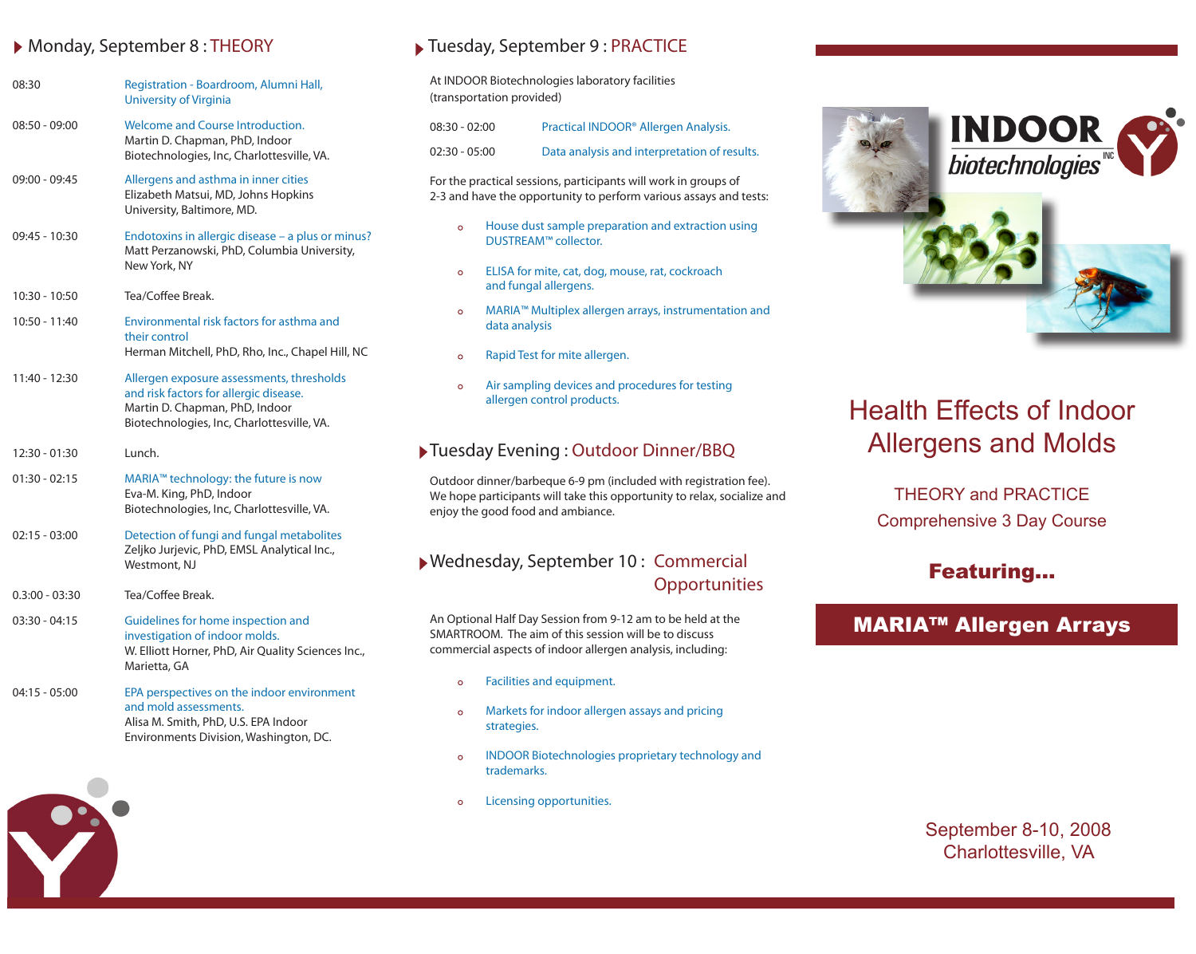#### Monday, September 8 : THEORY

| 08:30            | Registration - Boardroom, Alumni Hall,<br><b>University of Virginia</b>                                                                                             |
|------------------|---------------------------------------------------------------------------------------------------------------------------------------------------------------------|
| $08:50 - 09:00$  | Welcome and Course Introduction.<br>Martin D. Chapman, PhD, Indoor<br>Biotechnologies, Inc, Charlottesville, VA.                                                    |
| 09:00 - 09:45    | Allergens and asthma in inner cities<br>Elizabeth Matsui, MD, Johns Hopkins<br>University, Baltimore, MD.                                                           |
| 09:45 - 10:30    | Endotoxins in allergic disease - a plus or minus?<br>Matt Perzanowski, PhD, Columbia University,<br>New York, NY                                                    |
| 10:30 - 10:50    | Tea/Coffee Break.                                                                                                                                                   |
| 10:50 - 11:40    | Environmental risk factors for asthma and<br>their control<br>Herman Mitchell, PhD, Rho, Inc., Chapel Hill, NC                                                      |
| 11:40 - 12:30    | Allergen exposure assessments, thresholds<br>and risk factors for allergic disease.<br>Martin D. Chapman, PhD, Indoor<br>Biotechnologies, Inc, Charlottesville, VA. |
| 12:30 - 01:30    | Lunch.                                                                                                                                                              |
| $01:30 - 02:15$  | MARIA™ technology: the future is now<br>Eva-M. King, PhD, Indoor<br>Biotechnologies, Inc, Charlottesville, VA.                                                      |
| $02:15 - 03:00$  | Detection of fungi and fungal metabolites<br>Zeljko Jurjevic, PhD, EMSL Analytical Inc.,<br>Westmont, NJ                                                            |
| $0.3:00 - 03:30$ | Tea/Coffee Break.                                                                                                                                                   |
| $03:30 - 04:15$  | Guidelines for home inspection and<br>investigation of indoor molds.<br>W. Elliott Horner, PhD, Air Quality Sciences Inc.,<br>Marietta, GA                          |
| 04:15 - 05:00    | EPA perspectives on the indoor environment<br>and mold assessments.<br>Alisa M. Smith, PhD, U.S. EPA Indoor                                                         |

Environments Division, Washington, DC.



## ▶ Tuesday, September 9 : PRACTICE

At INDOOR Biotechnologies laboratory facilities (transportation provided)

| $08:30 - 02:00$ | Practical INDOOR® Allergen Analysis.         |
|-----------------|----------------------------------------------|
| $02:30 - 05:00$ | Data analysis and interpretation of results. |

For the practical sessions, participants will work in groups of 2-3 and have the opportunity to perform various assays and tests:

- $\circ$ House dust sample preparation and extraction using DUSTREAM™ collector.
- ELISA for mite, cat, dog, mouse, rat, cockroach  $\circ$ and fungal allergens.
- MARIA™ Multiplex allergen arrays, instrumentation and  $\circ$ data analysis
- Rapid Test for mite allergen.  $\circ$
- Air sampling devices and procedures for testing  $\Omega$ allergen control products.

### Tuesday Evening : Outdoor Dinner/BBQ

Outdoor dinner/barbeque 6-9 pm (included with registration fee). We hope participants will take this opportunity to relax, socialize and enjoy the good food and ambiance.

### Wednesday, September 10 : Commercial **Opportunities**

An Optional Half Day Session from 9-12 am to be held at the SMARTROOM. The aim of this session will be to discuss commercial aspects of indoor allergen analysis, including:

- $\circ$ Facilities and equipment.
- Markets for indoor allergen assays and pricing  $\circ$ strategies.
- $\bullet$ INDOOR Biotechnologies proprietary technology and trademarks.
- Licensing opportunities.  $\circ$



# Health Effects of Indoor Allergens and Molds

THEORY and PRACTICE Comprehensive 3 Day Course

## Featuring...

## MARIA™ Allergen Arrays

September 8-10, 2008 Charlottesville, VA